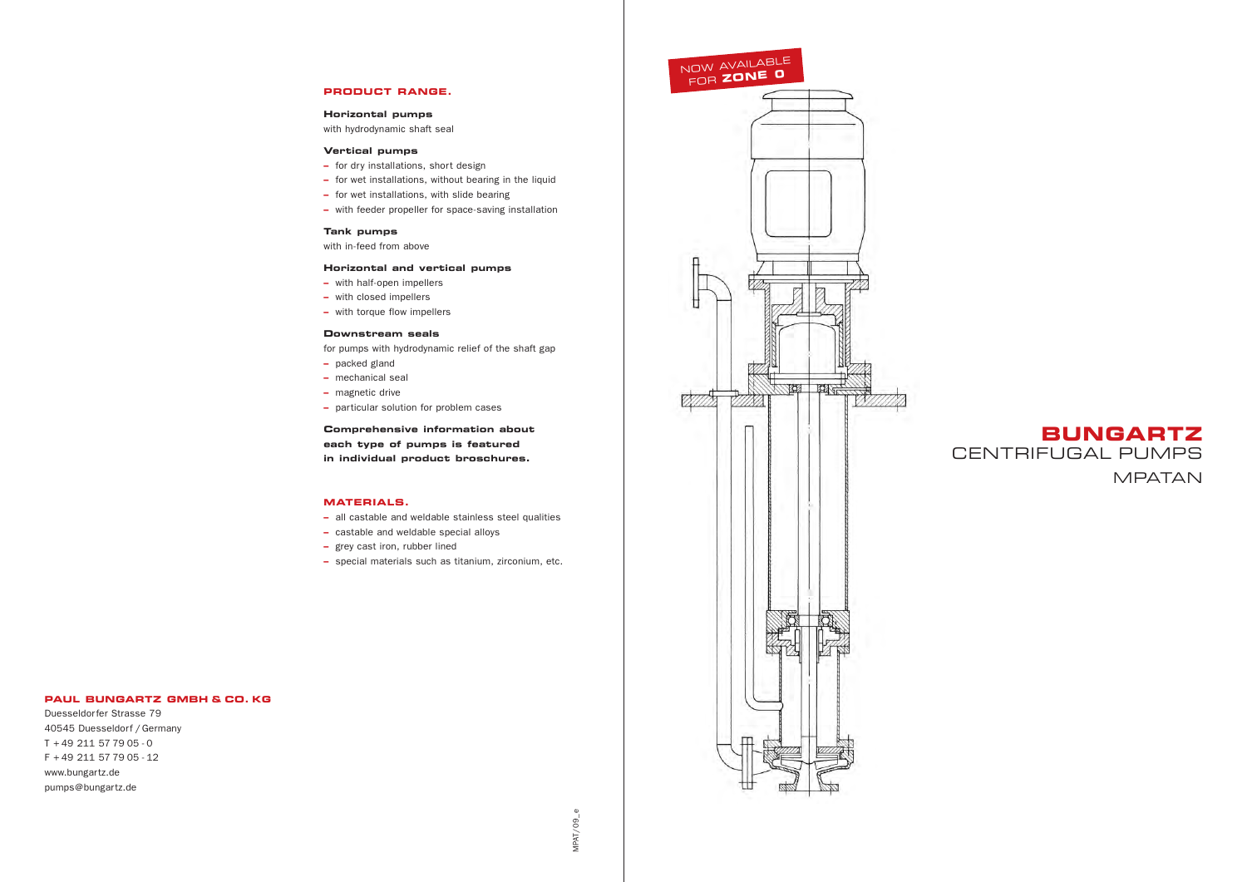

MPAT/09\_e  $MPAYO9$ 

### **PAUL BUNGARTZ GMBH & CO. KG**

Duesseldorfer Strasse 79 40545 Duesseldorf / Germany T + 49 211 57 79 05 - 0 F + 49 211 57 79 05 - 12 www.bungartz.de pumps@bungartz.de

## **PRODUCT RANGE.**

#### **Horizontal pumps**

with hydrodynamic shaft seal

### **Vertical pumps**

- **–** for dry installations, short design
- **–** for wet installations, without bearing in the liquid
- **–** for wet installations, with slide bearing
- **–** with feeder propeller for space-saving installation

## **Tank pumps**

with in-feed from above

### **Horizontal and vertical pumps**

- **–** with half-open impellers
- **–** with closed impellers
- **–** with torque flow impellers

### **Downstream seals**

for pumps with hydrodynamic relief of the shaft gap

- **–** packed gland
- **–** mechanical seal
- **–** magnetic drive
- **–** particular solution for problem cases

**Comprehensive information about each type of pumps is featured in individual product broschures.**

### **MATERIALS.**

- **–** all castable and weldable stainless steel qualities
- **–** castable and weldable special alloys
- **–** grey cast iron, rubber lined
- **–** special materials such as titanium, zirconium, etc.

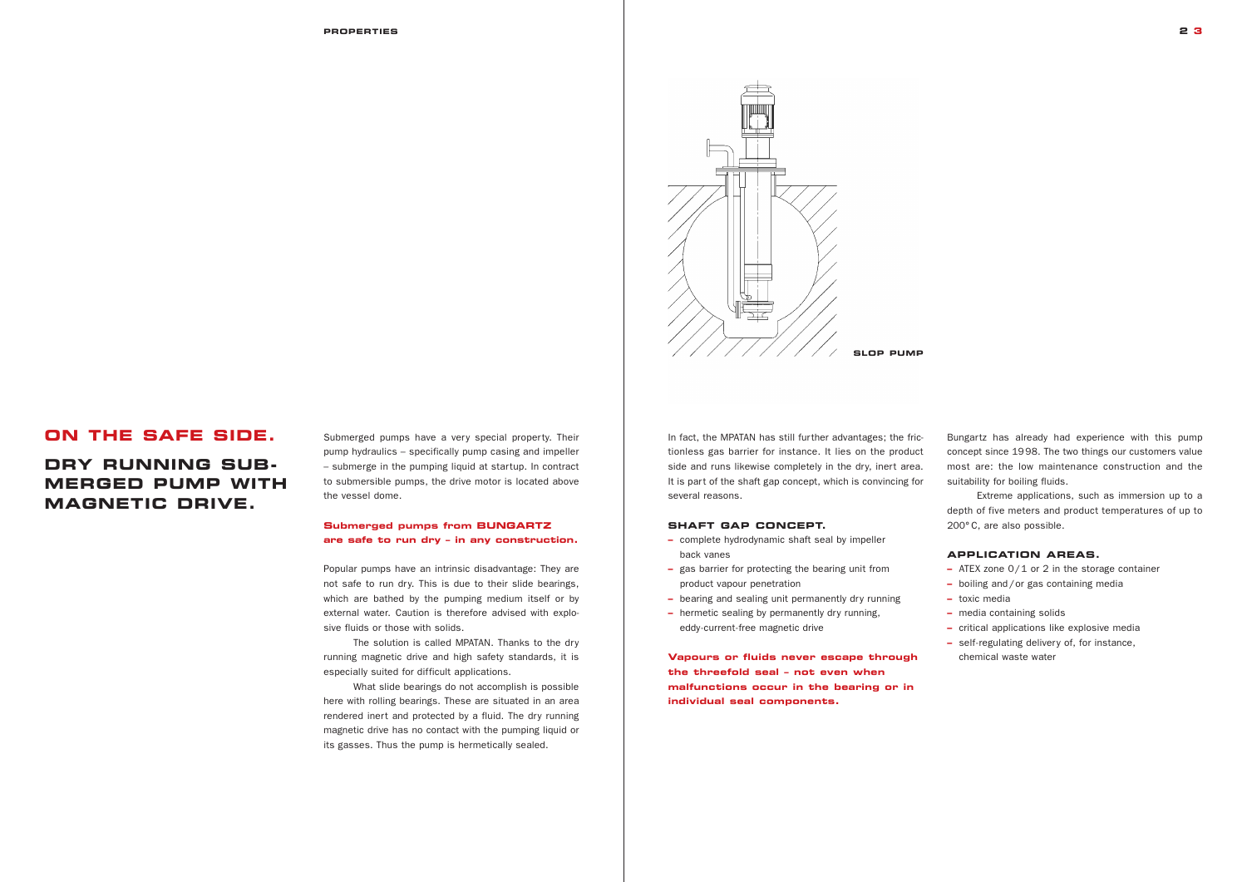## **ON THE SAFE SIDE.**

# **DRY RUNNING SUB-MERGED PUMP WITH MAGNETIC DRIVE.**

Submerged pumps have a very special property. Their pump hydraulics – specifically pump casing and impeller – submerge in the pumping liquid at startup. In contract to submersible pumps, the drive motor is located above the vessel dome.

## **Submerged pumps from BUNGARTZ are safe to run dry – in any construction.**

Popular pumps have an intrinsic disadvantage: They are not safe to run dry. This is due to their slide bearings, which are bathed by the pumping medium itself or by external water. Caution is therefore advised with explosive fluids or those with solids.

The solution is called MPATAN. Thanks to the dry running magnetic drive and high safety standards, it is especially suited for difficult applications.

What slide bearings do not accomplish is possible here with rolling bearings. These are situated in an area rendered inert and protected by a fluid. The dry running magnetic drive has no contact with the pumping liquid or its gasses. Thus the pump is hermetically sealed.



In fact, the MPATAN has still further advantages; the frictionless gas barrier for instance. It lies on the product side and runs likewise completely in the dry, inert area. It is part of the shaft gap concept, which is convincing for several reasons.

## **SHAFT GAP CONCEPT.**

- **–** complete hydrodynamic shaft seal by impeller back vanes
- **–** gas barrier for protecting the bearing unit from product vapour penetration
- **–** bearing and sealing unit permanently dry running
- **–** hermetic sealing by permanently dry running, eddy-current-free magnetic drive

**Vapours or fluids never escape through the threefold seal – not even when malfunctions occur in the bearing or in individual seal components.**

Bungartz has already had experience with this pump concept since 1998. The two things our customers value most are: the low maintenance construction and the suitability for boiling fluids.

Extreme applications, such as immersion up to a depth of five meters and product temperatures of up to 200° C, are also possible.

## **APPLICATION AREAS.**

- **–** ATEX zone 0/1 or 2 in the storage container
- **–** boiling and/or gas containing media
- **–** toxic media
- **–** media containing solids
- **–** critical applications like explosive media
- **–** self-regulating delivery of, for instance, chemical waste water

**2 3**

## **SLOP PUMP**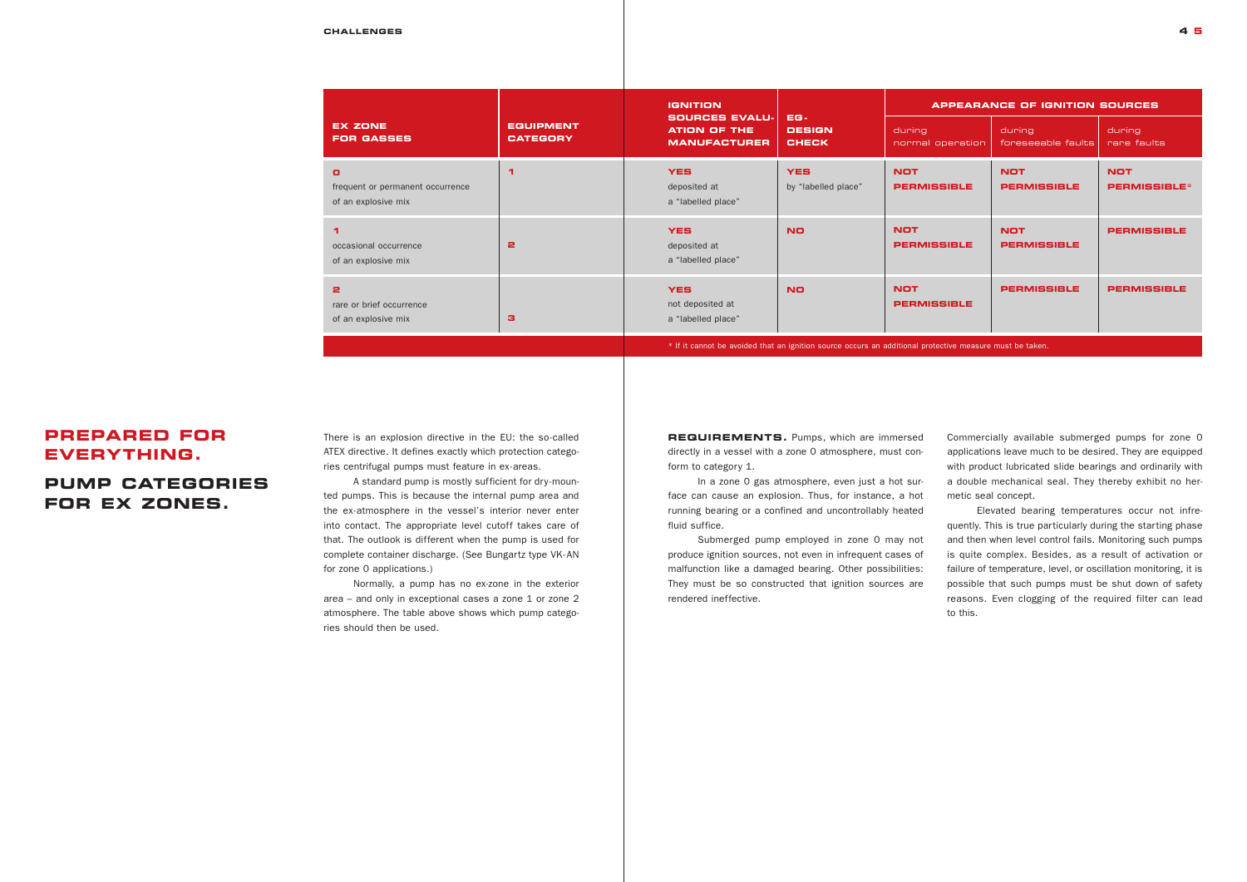## **PREPARED FOR EVERYTHING.**

## **PUMP CATEGORIES FOR EX ZONES.**

#### **CHALLENGES 4 5**

| <b>EX ZONE</b><br><b>FOR GASSES</b>                                                                      | <b>EQUIPMENT</b><br><b>CATEGORY</b> | <b>IGNITION</b><br><b>SOURCES EVALU-</b><br><b>ATION OF THE</b><br><b>MANUFACTURER</b> | EG-<br><b>DESIGN</b><br><b>CHECK</b> | during<br>normal operation       | <b>APPEARANCE OF IGNITION SOURCES</b><br>during<br>foreseeable faults | during<br>rare faults              |
|----------------------------------------------------------------------------------------------------------|-------------------------------------|----------------------------------------------------------------------------------------|--------------------------------------|----------------------------------|-----------------------------------------------------------------------|------------------------------------|
| $\mathbf{O}$<br>frequent or permanent occurrence<br>of an explosive mix                                  | ◀                                   | <b>YES</b><br>deposited at<br>a "labelled place"                                       | <b>YES</b><br>by "labelled place"    | <b>NOT</b><br><b>PERMISSIBLE</b> | <b>NOT</b><br><b>PERMISSIBLE</b>                                      | <b>NOT</b><br><b>PERMISSIBLE</b> * |
| occasional occurrence<br>of an explosive mix                                                             | $\mathbf{a}$                        | <b>YES</b><br>deposited at<br>a "labelled place"                                       | <b>NO</b>                            | <b>NOT</b><br><b>PERMISSIBLE</b> | <b>NOT</b><br><b>PERMISSIBLE</b>                                      | <b>PERMISSIBLE</b>                 |
| 2<br>rare or brief occurrence<br>of an explosive mix                                                     | з                                   | <b>YES</b><br>not deposited at<br>a "labelled place"                                   | <b>NO</b>                            | <b>NOT</b><br><b>PERMISSIBLE</b> | <b>PERMISSIBLE</b>                                                    | <b>PERMISSIBLE</b>                 |
| * If it cannot be avoided that an ignition source occurs an additional protective measure must be taken. |                                     |                                                                                        |                                      |                                  |                                                                       |                                    |

**REQUIREMENTS.** Pumps, which are immersed directly in a vessel with a zone 0 atmosphere, must conform to category 1.

There is an explosion directive in the EU: the so-called ATEX directive. It defines exactly which protection categories centrifugal pumps must feature in ex-areas.

A standard pump is mostly sufficient for dry-mounted pumps. This is because the internal pump area and the ex-atmosphere in the vessel's interior never enter into contact. The appropriate level cutoff takes care of that. The outlook is different when the pump is used for complete container discharge. (See Bungartz type VK-AN for zone 0 applications.)

Normally, a pump has no ex-zone in the exterior area – and only in exceptional cases a zone 1 or zone 2 atmosphere. The table above shows which pump categories should then be used.

In a zone 0 gas atmosphere, even just a hot surface can cause an explosion. Thus, for instance, a hot running bearing or a confined and uncontrollably heated fluid suffice.

Submerged pump employed in zone 0 may not produce ignition sources, not even in infrequent cases of malfunction like a damaged bearing. Other possibilities: They must be so constructed that ignition sources are rendered ineffective.



Commercially available submerged pumps for zone 0 applications leave much to be desired. They are equipped with product lubricated slide bearings and ordinarily with a double mechanical seal. They thereby exhibit no hermetic seal concept.

Elevated bearing temperatures occur not infrequently. This is true particularly during the starting phase and then when level control fails. Monitoring such pumps is quite complex. Besides, as a result of activation or failure of temperature, level, or oscillation monitoring, it is possible that such pumps must be shut down of safety reasons. Even clogging of the required filter can lead to this.